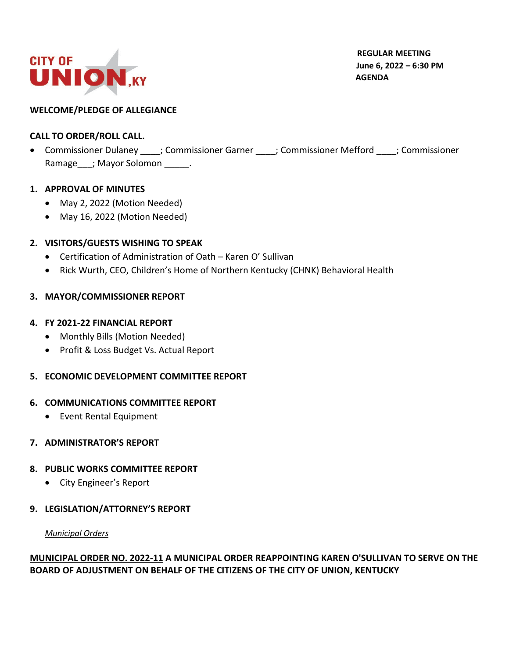

 **REGULAR MEETING June 6, 2022 – 6:30 PM AGENDA**

## **WELCOME/PLEDGE OF ALLEGIANCE**

## **CALL TO ORDER/ROLL CALL.**

• Commissioner Dulaney ; Commissioner Garner ; Commissioner Mefford ; Commissioner Ramage\_\_\_; Mayor Solomon \_\_\_\_\_.

### **1. APPROVAL OF MINUTES**

- May 2, 2022 (Motion Needed)
- May 16, 2022 (Motion Needed)

## **2. VISITORS/GUESTS WISHING TO SPEAK**

- Certification of Administration of Oath Karen O' Sullivan
- Rick Wurth, CEO, Children's Home of Northern Kentucky (CHNK) Behavioral Health

## **3. MAYOR/COMMISSIONER REPORT**

### **4. FY 2021-22 FINANCIAL REPORT**

- Monthly Bills (Motion Needed)
- Profit & Loss Budget Vs. Actual Report

# **5. ECONOMIC DEVELOPMENT COMMITTEE REPORT**

### **6. COMMUNICATIONS COMMITTEE REPORT**

• Event Rental Equipment

### **7. ADMINISTRATOR'S REPORT**

### **8. PUBLIC WORKS COMMITTEE REPORT**

• City Engineer's Report

### **9. LEGISLATION/ATTORNEY'S REPORT**

### *Municipal Orders*

# **MUNICIPAL ORDER NO. 2022-11 A MUNICIPAL ORDER REAPPOINTING KAREN O'SULLIVAN TO SERVE ON THE BOARD OF ADJUSTMENT ON BEHALF OF THE CITIZENS OF THE CITY OF UNION, KENTUCKY**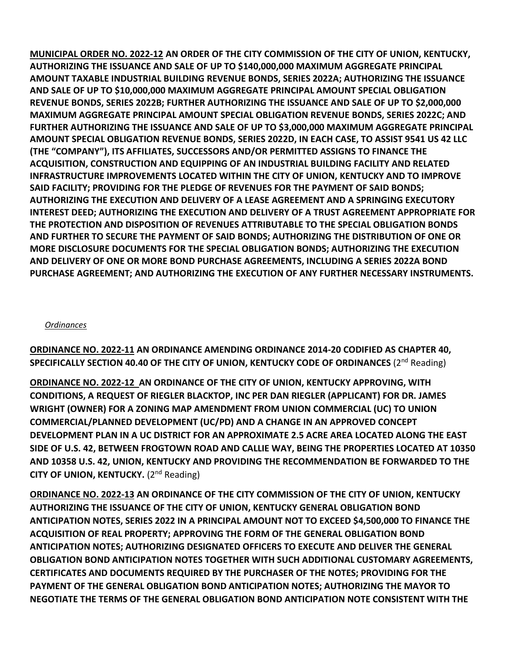**MUNICIPAL ORDER NO. 2022-12 AN ORDER OF THE CITY COMMISSION OF THE CITY OF UNION, KENTUCKY, AUTHORIZING THE ISSUANCE AND SALE OF UP TO \$140,000,000 MAXIMUM AGGREGATE PRINCIPAL AMOUNT TAXABLE INDUSTRIAL BUILDING REVENUE BONDS, SERIES 2022A; AUTHORIZING THE ISSUANCE AND SALE OF UP TO \$10,000,000 MAXIMUM AGGREGATE PRINCIPAL AMOUNT SPECIAL OBLIGATION REVENUE BONDS, SERIES 2022B; FURTHER AUTHORIZING THE ISSUANCE AND SALE OF UP TO \$2,000,000 MAXIMUM AGGREGATE PRINCIPAL AMOUNT SPECIAL OBLIGATION REVENUE BONDS, SERIES 2022C; AND FURTHER AUTHORIZING THE ISSUANCE AND SALE OF UP TO \$3,000,000 MAXIMUM AGGREGATE PRINCIPAL AMOUNT SPECIAL OBLIGATION REVENUE BONDS, SERIES 2022D, IN EACH CASE, TO ASSIST 9541 US 42 LLC (THE "COMPANY"), ITS AFFILIATES, SUCCESSORS AND/OR PERMITTED ASSIGNS TO FINANCE THE ACQUISITION, CONSTRUCTION AND EQUIPPING OF AN INDUSTRIAL BUILDING FACILITY AND RELATED INFRASTRUCTURE IMPROVEMENTS LOCATED WITHIN THE CITY OF UNION, KENTUCKY AND TO IMPROVE SAID FACILITY; PROVIDING FOR THE PLEDGE OF REVENUES FOR THE PAYMENT OF SAID BONDS; AUTHORIZING THE EXECUTION AND DELIVERY OF A LEASE AGREEMENT AND A SPRINGING EXECUTORY INTEREST DEED; AUTHORIZING THE EXECUTION AND DELIVERY OF A TRUST AGREEMENT APPROPRIATE FOR THE PROTECTION AND DISPOSITION OF REVENUES ATTRIBUTABLE TO THE SPECIAL OBLIGATION BONDS AND FURTHER TO SECURE THE PAYMENT OF SAID BONDS; AUTHORIZING THE DISTRIBUTION OF ONE OR MORE DISCLOSURE DOCUMENTS FOR THE SPECIAL OBLIGATION BONDS; AUTHORIZING THE EXECUTION AND DELIVERY OF ONE OR MORE BOND PURCHASE AGREEMENTS, INCLUDING A SERIES 2022A BOND PURCHASE AGREEMENT; AND AUTHORIZING THE EXECUTION OF ANY FURTHER NECESSARY INSTRUMENTS.**

### *Ordinances*

**ORDINANCE NO. 2022-11 AN ORDINANCE AMENDING ORDINANCE 2014-20 CODIFIED AS CHAPTER 40, SPECIFICALLY SECTION 40.40 OF THE CITY OF UNION, KENTUCKY CODE OF ORDINANCES** (2<sup>nd</sup> Reading)

**ORDINANCE NO. 2022-12 AN ORDINANCE OF THE CITY OF UNION, KENTUCKY APPROVING, WITH CONDITIONS, A REQUEST OF RIEGLER BLACKTOP, INC PER DAN RIEGLER (APPLICANT) FOR DR. JAMES WRIGHT (OWNER) FOR A ZONING MAP AMENDMENT FROM UNION COMMERCIAL (UC) TO UNION COMMERCIAL/PLANNED DEVELOPMENT (UC/PD) AND A CHANGE IN AN APPROVED CONCEPT DEVELOPMENT PLAN IN A UC DISTRICT FOR AN APPROXIMATE 2.5 ACRE AREA LOCATED ALONG THE EAST SIDE OF U.S. 42, BETWEEN FROGTOWN ROAD AND CALLIE WAY, BEING THE PROPERTIES LOCATED AT 10350 AND 10358 U.S. 42, UNION, KENTUCKY AND PROVIDING THE RECOMMENDATION BE FORWARDED TO THE CITY OF UNION, KENTUCKY.** (2nd Reading)

**ORDINANCE NO. 2022-13 AN ORDINANCE OF THE CITY COMMISSION OF THE CITY OF UNION, KENTUCKY AUTHORIZING THE ISSUANCE OF THE CITY OF UNION, KENTUCKY GENERAL OBLIGATION BOND ANTICIPATION NOTES, SERIES 2022 IN A PRINCIPAL AMOUNT NOT TO EXCEED \$4,500,000 TO FINANCE THE ACQUISITION OF REAL PROPERTY; APPROVING THE FORM OF THE GENERAL OBLIGATION BOND ANTICIPATION NOTES; AUTHORIZING DESIGNATED OFFICERS TO EXECUTE AND DELIVER THE GENERAL OBLIGATION BOND ANTICIPATION NOTES TOGETHER WITH SUCH ADDITIONAL CUSTOMARY AGREEMENTS, CERTIFICATES AND DOCUMENTS REQUIRED BY THE PURCHASER OF THE NOTES; PROVIDING FOR THE PAYMENT OF THE GENERAL OBLIGATION BOND ANTICIPATION NOTES; AUTHORIZING THE MAYOR TO NEGOTIATE THE TERMS OF THE GENERAL OBLIGATION BOND ANTICIPATION NOTE CONSISTENT WITH THE**